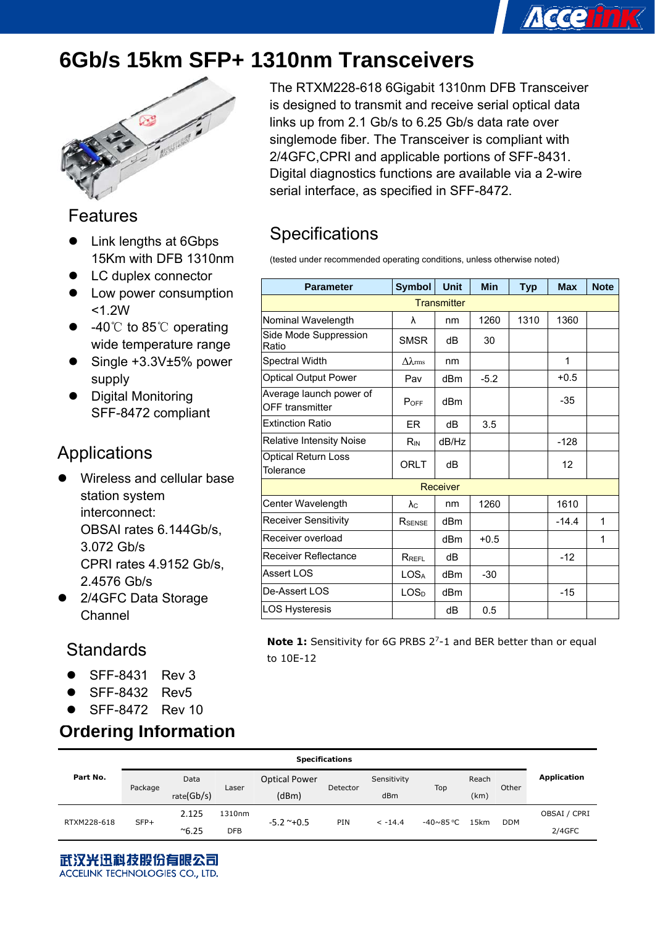# **6Gb/s 15km SFP+ 1310nm Transceivers**



#### Features

- Link lengths at 6Gbps 15Km with DFB 1310nm
- LC duplex connector
- Low power consumption <1.2W
- -40℃ to 85℃ operating wide temperature range
- Single +3.3V±5% power supply
- Digital Monitoring SFF-8472 compliant

### Applications

- Wireless and cellular base station system interconnect: OBSAI rates 6.144Gb/s, 3.072 Gb/s CPRI rates 4.9152 Gb/s, 2.4576 Gb/s
- 2/4GFC Data Storage Channel

### **Standards**

- z SFF-8431 Rev 3
- z SFF-8432 Rev5
- $\bullet$  SFF-8472 Rev 10

#### **Ordering Information**

The RTXM228-618 6Gigabit 1310nm DFB Transceiver is designed to transmit and receive serial optical data links up from 2.1 Gb/s to 6.25 Gb/s data rate over singlemode fiber. The Transceiver is compliant with 2/4GFC,CPRI and applicable portions of SFF-8431. Digital diagnostics functions are available via a 2-wire serial interface, as specified in SFF-8472.

**Accertnik** 

## **Specifications**

(tested under recommended operating conditions, unless otherwise noted)

| <b>Parameter</b>                                  | <b>Symbol</b>       | <b>Unit</b>     | <b>Min</b> | <b>Typ</b> | <b>Max</b> | <b>Note</b> |  |  |
|---------------------------------------------------|---------------------|-----------------|------------|------------|------------|-------------|--|--|
| <b>Transmitter</b>                                |                     |                 |            |            |            |             |  |  |
| Nominal Wavelength                                | λ                   | nm              | 1260       | 1310       | 1360       |             |  |  |
| Side Mode Suppression<br>Ratio                    | <b>SMSR</b>         | dB              | 30         |            |            |             |  |  |
| <b>Spectral Width</b>                             | $\Delta\lambda$ rms | nm              |            |            | 1          |             |  |  |
| <b>Optical Output Power</b>                       | Pav                 | dBm             | $-5.2$     |            | $+0.5$     |             |  |  |
| Average launch power of<br><b>OFF</b> transmitter | $P_{OFF}$           | dBm             |            |            | $-35$      |             |  |  |
| <b>Extinction Ratio</b>                           | ER.                 | dВ              | 3.5        |            |            |             |  |  |
| <b>Relative Intensity Noise</b>                   | R <sub>IN</sub>     | dB/Hz           |            |            | $-128$     |             |  |  |
| <b>Optical Return Loss</b><br>Tolerance           | ORLT                | dB              |            |            | 12         |             |  |  |
|                                                   |                     | Receiver        |            |            |            |             |  |  |
| Center Wavelength                                 | $\lambda_{\rm C}$   | nm              | 1260       |            | 1610       |             |  |  |
| <b>Receiver Sensitivity</b>                       | RSENSE              | dB <sub>m</sub> |            |            | $-14.4$    | 1           |  |  |
| Receiver overload                                 |                     | dBm             | $+0.5$     |            |            | 1           |  |  |
| Receiver Reflectance                              | $R_{REFL}$          | dB              |            |            | $-12$      |             |  |  |
| Assert LOS                                        | <b>LOSA</b>         | dBm             | $-30$      |            |            |             |  |  |
| De-Assert LOS                                     | LOS <sub>D</sub>    | d <sub>Bm</sub> |            |            | $-15$      |             |  |  |
| <b>LOS Hysteresis</b>                             |                     | dВ              | 0.5        |            |            |             |  |  |

**Note 1:** Sensitivity for 6G PRBS 2<sup>7</sup>-1 and BER better than or equal to 10E-12

|             | <b>Specifications</b> |               |            |                      |            |             |           |       |            |              |
|-------------|-----------------------|---------------|------------|----------------------|------------|-------------|-----------|-------|------------|--------------|
| Part No.    |                       | Data          | Laser      | <b>Optical Power</b> | Detector   | Sensitivity | Top       | Reach | Other      | Application  |
|             | Package               | rate(Gb/s)    |            | (dBm)                |            | dBm         |           | (km)  |            |              |
| RTXM228-618 | $SFP+$                | 2.125         | 1310nm     | $-5.2$ ~+0.5         | <b>PIN</b> | $<-14.4$    | -40~85 °C | 15km  | <b>DDM</b> | OBSAI / CPRI |
|             |                       | $^{\sim}6.25$ | <b>DFB</b> |                      |            |             |           |       |            | $2/4$ GFC    |

武汉光迅科技股份有眼公司 ACCELINK TECHNOLOGIES CO., LTD.